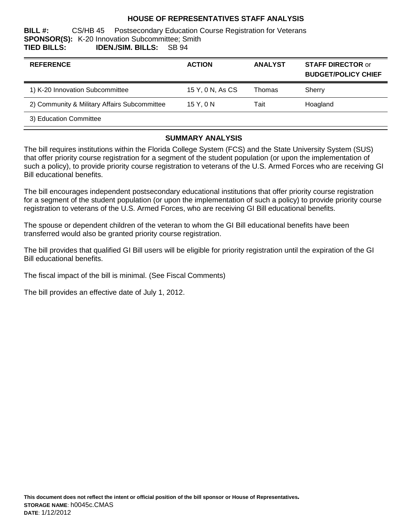## **HOUSE OF REPRESENTATIVES STAFF ANALYSIS**

**BILL #:** CS/HB 45 Postsecondary Education Course Registration for Veterans **SPONSOR(S):** K-20 Innovation Subcommittee; Smith **TIED BILLS: IDEN./SIM. BILLS:** SB 94

| <b>REFERENCE</b>                             | <b>ACTION</b>    | <b>ANALYST</b> | <b>STAFF DIRECTOR or</b><br><b>BUDGET/POLICY CHIEF</b> |
|----------------------------------------------|------------------|----------------|--------------------------------------------------------|
| 1) K-20 Innovation Subcommittee              | 15 Y, 0 N, As CS | Thomas         | Sherry                                                 |
| 2) Community & Military Affairs Subcommittee | 15 Y, 0 N        | Tait           | Hoagland                                               |
| 3) Education Committee                       |                  |                |                                                        |

#### **SUMMARY ANALYSIS**

The bill requires institutions within the Florida College System (FCS) and the State University System (SUS) that offer priority course registration for a segment of the student population (or upon the implementation of such a policy), to provide priority course registration to veterans of the U.S. Armed Forces who are receiving GI Bill educational benefits.

The bill encourages independent postsecondary educational institutions that offer priority course registration for a segment of the student population (or upon the implementation of such a policy) to provide priority course registration to veterans of the U.S. Armed Forces, who are receiving GI Bill educational benefits.

The spouse or dependent children of the veteran to whom the GI Bill educational benefits have been transferred would also be granted priority course registration.

The bill provides that qualified GI Bill users will be eligible for priority registration until the expiration of the GI Bill educational benefits.

The fiscal impact of the bill is minimal. (See Fiscal Comments)

The bill provides an effective date of July 1, 2012.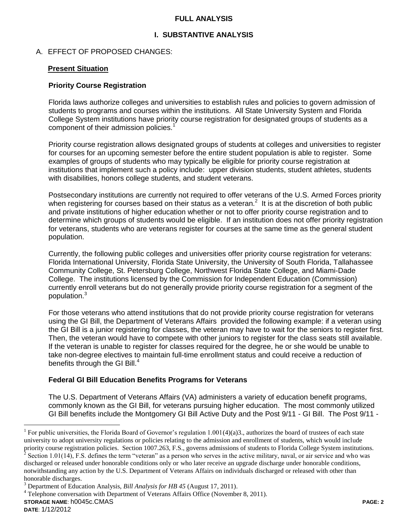#### **FULL ANALYSIS**

## **I. SUBSTANTIVE ANALYSIS**

### A. EFFECT OF PROPOSED CHANGES:

#### **Present Situation**

#### **Priority Course Registration**

Florida laws authorize colleges and universities to establish rules and policies to govern admission of students to programs and courses within the institutions. All State University System and Florida College System institutions have priority course registration for designated groups of students as a component of their admission policies.<sup>1</sup>

Priority course registration allows designated groups of students at colleges and universities to register for courses for an upcoming semester before the entire student population is able to register. Some examples of groups of students who may typically be eligible for priority course registration at institutions that implement such a policy include: upper division students, student athletes, students with disabilities, honors college students, and student veterans.

Postsecondary institutions are currently not required to offer veterans of the U.S. Armed Forces priority when registering for courses based on their status as a veteran. $2$  It is at the discretion of both public and private institutions of higher education whether or not to offer priority course registration and to determine which groups of students would be eligible. If an institution does not offer priority registration for veterans, students who are veterans register for courses at the same time as the general student population.

Currently, the following public colleges and universities offer priority course registration for veterans: Florida International University, Florida State University, the University of South Florida, Tallahassee Community College, St. Petersburg College, Northwest Florida State College, and Miami-Dade College. The institutions licensed by the Commission for Independent Education (Commission) currently enroll veterans but do not generally provide priority course registration for a segment of the population.<sup>3</sup>

For those veterans who attend institutions that do not provide priority course registration for veterans using the GI Bill, the Department of Veterans Affairs provided the following example: if a veteran using the GI Bill is a junior registering for classes, the veteran may have to wait for the seniors to register first. Then, the veteran would have to compete with other juniors to register for the class seats still available. If the veteran is unable to register for classes required for the degree, he or she would be unable to take non-degree electives to maintain full-time enrollment status and could receive a reduction of benefits through the GI Bill.<sup>4</sup>

## **Federal GI Bill Education Benefits Programs for Veterans**

The U.S. Department of Veterans Affairs (VA) administers a variety of education benefit programs, commonly known as the GI Bill, for veterans pursuing higher education. The most commonly utilized GI Bill benefits include the Montgomery GI Bill Active Duty and the Post 9/11 - GI Bill. The Post 9/11 -

discharged or released under honorable conditions only or who later receive an upgrade discharge under honorable conditions, notwithstanding any action by the U.S. Department of Veterans Affairs on individuals discharged or released with other than honorable discharges.

<sup>4</sup> Telephone conversation with Department of Veterans Affairs Office (November 8, 2011).

 $\overline{a}$ 

<sup>&</sup>lt;sup>1</sup> For public universities, the Florida Board of Governor's regulation 1.001(4)(a)3., authorizes the board of trustees of each state university to adopt university regulations or policies relating to the admission and enrollment of students, which would include priority course registration policies. Section 1007.263, F.S., governs admissions of students to Florida College System institutions.<br><sup>2</sup> Section 1.01(14), E.S. defines the term "veteren" as a person who serves in the acti Section 1.01(14), F.S. defines the term "veteran" as a person who serves in the active military, naval, or air service and who was

<sup>3</sup> Department of Education Analysis, *Bill Analysis for HB 45* (August 17, 2011).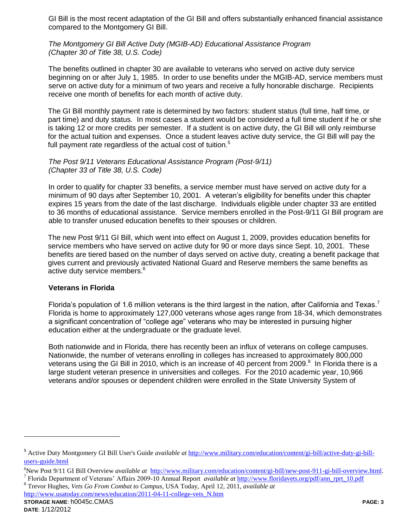GI Bill is the most recent adaptation of the GI Bill and offers substantially enhanced financial assistance compared to the Montgomery GI Bill.

*The Montgomery GI Bill Active Duty (MGIB-AD) Educational Assistance Program (Chapter 30 of Title 38, U.S. Code)* 

The benefits outlined in chapter 30 are available to veterans who served on active duty service beginning on or after July 1, 1985. In order to use benefits under the MGIB-AD, service members must serve on active duty for a minimum of two years and receive a fully honorable discharge. Recipients receive one month of benefits for each month of active duty.

The GI Bill monthly payment rate is determined by two factors: student status (full time, half time, or part time) and duty status. In most cases a student would be considered a full time student if he or she is taking 12 or more credits per semester. If a student is on active duty, the GI Bill will only reimburse for the actual tuition and expenses. Once a student leaves active duty service, the GI Bill will pay the full payment rate regardless of the actual cost of tuition.<sup>5</sup>

*The Post 9/11 Veterans Educational Assistance Program (Post-9/11) (Chapter 33 of Title 38, U.S. Code)* 

In order to qualify for chapter 33 benefits, a service member must have served on active duty for a minimum of 90 days after September 10, 2001. A veteran's eligibility for benefits under this chapter expires 15 years from the date of the last discharge. Individuals eligible under chapter 33 are entitled to 36 months of educational assistance. Service members enrolled in the Post-9/11 GI Bill program are able to transfer unused education benefits to their spouses or children.

The new Post 9/11 GI Bill, which went into effect on August 1, 2009, provides education benefits for service members who have served on active duty for 90 or more days since Sept. 10, 2001. These benefits are tiered based on the number of days served on active duty, creating a benefit package that gives current and previously activated National Guard and Reserve members the same benefits as active duty service members.<sup>6</sup>

## **Veterans in Florida**

Florida's population of 1.6 million veterans is the third largest in the nation, after California and Texas.<sup>7</sup> Florida is home to approximately 127,000 veterans whose ages range from 18-34, which demonstrates a significant concentration of "college age" veterans who may be interested in pursuing higher education either at the undergraduate or the graduate level.

Both nationwide and in Florida, there has recently been an influx of veterans on college campuses. Nationwide, the number of veterans enrolling in colleges has increased to approximately 800,000 veterans using the GI Bill in 2010, which is an increase of 40 percent from 2009. $8$  In Florida there is a large student veteran presence in universities and colleges. For the 2010 academic year, 10,966 veterans and/or spouses or dependent children were enrolled in the State University System of

<sup>8</sup> Trevor Hughes, *Vets Go From Combat to Campus*, USA Today, April 12, 2011, *available at* [http://www.usatoday.com/news/education/2011-04-11-college-vets\\_N.htm](http://www.usatoday.com/news/education/2011-04-11-college-vets_N.htm)

 $\overline{a}$ 

**<sup>5</sup>** Active Duty Montgomery GI Bill User's Guide *available at* [http://www.military.com/education/content/gi-bill/active-duty-gi-bill](http://www.military.com/education/content/gi-bill/active-duty-gi-bill-users-guide.html)[users-guide.html](http://www.military.com/education/content/gi-bill/active-duty-gi-bill-users-guide.html)

<sup>6</sup>New Post 9/11 GI Bill Overview *available at* [http://www.military.com/education/content/gi-bill/new-post-911-gi-bill-overview.html.](http://www.military.com/education/content/gi-bill/new-post-911-gi-bill-overview.html) 7 Florida Department of Veterans' Affairs 2009-10 Annual Report *available at* [http://www.floridavets.org/pdf/ann\\_rprt\\_10.pdf](http://www.floridavets.org/pdf/ann_rprt_10.pdf)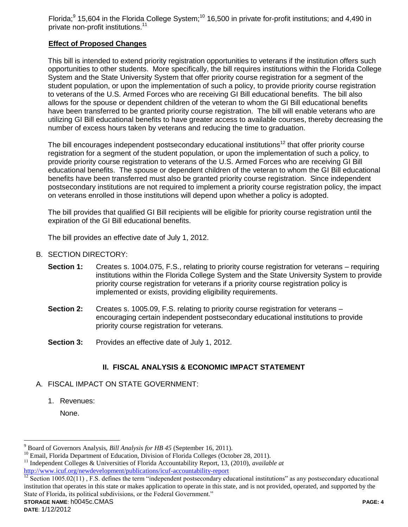Florida;<sup>9</sup> 15,604 in the Florida College System;<sup>10</sup> 16,500 in private for-profit institutions; and 4,490 in private non-profit institutions.<sup>11</sup>

# **Effect of Proposed Changes**

This bill is intended to extend priority registration opportunities to veterans if the institution offers such opportunities to other students. More specifically, the bill requires institutions within the Florida College System and the State University System that offer priority course registration for a segment of the student population, or upon the implementation of such a policy, to provide priority course registration to veterans of the U.S. Armed Forces who are receiving GI Bill educational benefits. The bill also allows for the spouse or dependent children of the veteran to whom the GI Bill educational benefits have been transferred to be granted priority course registration. The bill will enable veterans who are utilizing GI Bill educational benefits to have greater access to available courses, thereby decreasing the number of excess hours taken by veterans and reducing the time to graduation.

The bill encourages independent postsecondary educational institutions<sup>12</sup> that offer priority course registration for a segment of the student population, or upon the implementation of such a policy, to provide priority course registration to veterans of the U.S. Armed Forces who are receiving GI Bill educational benefits. The spouse or dependent children of the veteran to whom the GI Bill educational benefits have been transferred must also be granted priority course registration. Since independent postsecondary institutions are not required to implement a priority course registration policy, the impact on veterans enrolled in those institutions will depend upon whether a policy is adopted.

The bill provides that qualified GI Bill recipients will be eligible for priority course registration until the expiration of the GI Bill educational benefits.

The bill provides an effective date of July 1, 2012.

- B. SECTION DIRECTORY:
	- **Section 1:** Creates s. 1004.075, F.S., relating to priority course registration for veterans requiring institutions within the Florida College System and the State University System to provide priority course registration for veterans if a priority course registration policy is implemented or exists, providing eligibility requirements.
	- **Section 2:** Creates s. 1005.09, F.S. relating to priority course registration for veterans encouraging certain independent postsecondary educational institutions to provide priority course registration for veterans.
	- **Section 3:** Provides an effective date of July 1, 2012.

# **II. FISCAL ANALYSIS & ECONOMIC IMPACT STATEMENT**

- A. FISCAL IMPACT ON STATE GOVERNMENT:
	- 1. Revenues:

None.

**STORAGE NAME**: h0045c.CMAS **PAGE: 4**  $\frac{\text{ln}(p)}{12}$  Section 1005.02(11), F.S. defines the term "independent postsecondary educational institutions" as any postsecondary educational institution that operates in this state or makes application to operate in this state, and is not provided, operated, and supported by the State of Florida, its political subdivisions, or the Federal Government."

 $\overline{a}$ 

<sup>9</sup> Board of Governors Analysis, *Bill Analysis for HB 45* (September 16, 2011).

<sup>&</sup>lt;sup>10</sup> Email, Florida Department of Education, Division of Florida Colleges (October 28, 2011).

<sup>11</sup> Independent Colleges & Universities of Florida Accountability Report, 13, (2010), *available at*

<http://www.icuf.org/newdevelopment/publications/icuf-accountability-report>